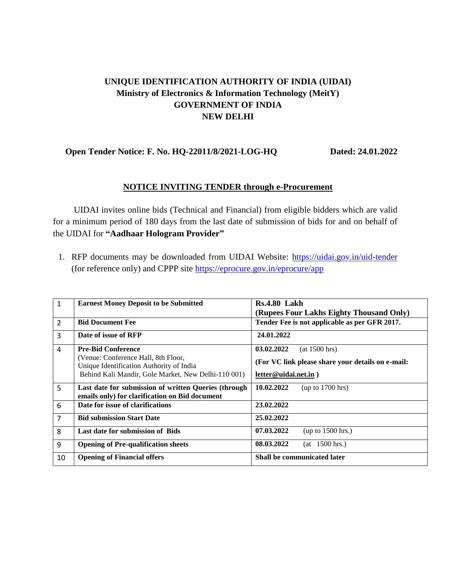## **UNIQUE IDENTIFICATION AUTHORITY OF INDIA (UIDAI) Ministry of Electronics & Information Technology (MeitY) GOVERNMENT OF INDIA NEW DELHI**

## **Open Tender Notice: F. No. HQ-22011/8/2021-LOG-HQ Dated: 24.01.2022**

## **NOTICE INVITING TENDER through e-Procurement**

UIDAI invites online bids (Technical and Financial) from eligible bidders which are valid for a minimum period of 180 days from the last date of submission of bids for and on behalf of the UIDAI for **"Aadhaar Hologram Provider"**

1. RFP documents may be downloaded from UIDAI Website:<https://uidai.gov.in/uid-tender> (for reference only) and CPPP site<https://eprocure.gov.in/eprocure/app>

| $\mathbf{1}$   | <b>Earnest Money Deposit to be Submitted</b>                                                           | <b>Rs.4.80 Lakh</b>                               |
|----------------|--------------------------------------------------------------------------------------------------------|---------------------------------------------------|
|                |                                                                                                        | (Rupees Four Lakhs Eighty Thousand Only)          |
| 2              | <b>Bid Document Fee</b>                                                                                | Tender Fee is not applicable as per GFR 2017.     |
| $\overline{3}$ | Date of issue of RFP                                                                                   | 24.01.2022                                        |
| 4              | <b>Pre-Bid Conference</b>                                                                              | 03.02.2022<br>(at 1500 hrs)                       |
|                | (Venue: Conference Hall, 8th Floor,<br>Unique Identification Authority of India                        | (For VC link please share your details on e-mail: |
|                | Behind Kali Mandir, Gole Market, New Delhi-110 001)                                                    | letter@uidai.net.in)                              |
| 5              | Last date for submission of written Queries (through<br>emails only) for clarification on Bid document | 10.02.2022<br>(up to 1700 hrs)                    |
| 6              | Date for issue of clarifications                                                                       | 23.02.2022                                        |
| $\overline{7}$ | <b>Bid submission Start Date</b>                                                                       | 25.02.2022                                        |
| 8              | Last date for submission of Bids                                                                       | 07.03.2022<br>(up to $1500$ hrs.)                 |
| 9              | <b>Opening of Pre-qualification sheets</b>                                                             | 08.03.2022<br>$(at \ 1500 \, hrs.)$               |
| 10             | <b>Opening of Financial offers</b>                                                                     | <b>Shall be communicated later</b>                |